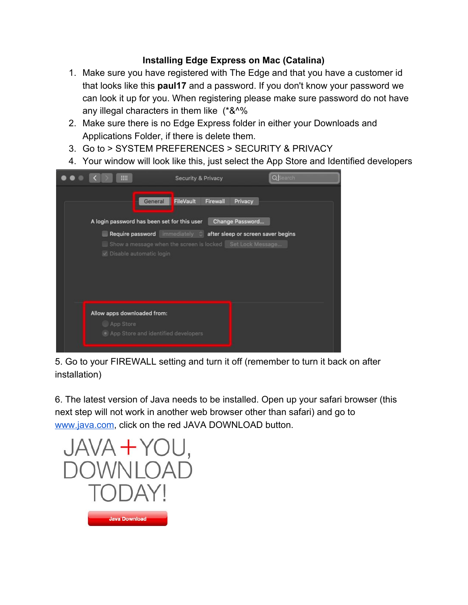## **Installing Edge Express on Mac (Catalina)**

- 1. Make sure you have registered with The Edge and that you have a customer id that looks like this **paul17** and a password. If you don't know your password we can look it up for you. When registering please make sure password do not have any illegal characters in them like (\*&^%
- 2. Make sure there is no Edge Express folder in either your Downloads and Applications Folder, if there is delete them.
- 3. Go to > SYSTEM PREFERENCES > SECURITY & PRIVACY
- 4. Your window will look like this, just select the App Store and Identified developers



5. Go to your FIREWALL setting and turn it off (remember to turn it back on after installation)

6. The latest version of Java needs to be installed. Open up your safari browser (this next step will not work in another web browser other than safari) and go to [www.java.com](http://www.java.com/), click on the red JAVA DOWNLOAD button.

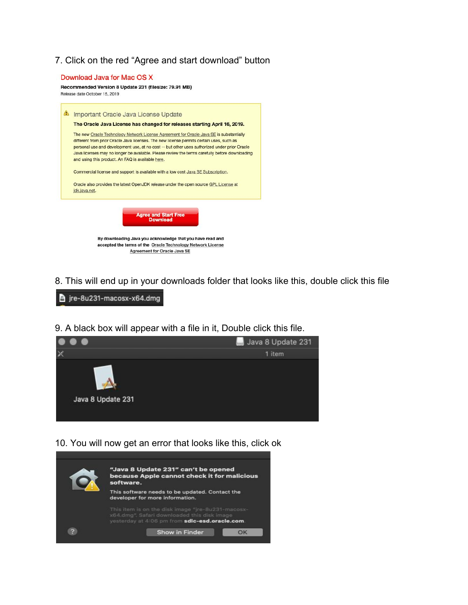7. Click on the red "Agree and start download" button



8. This will end up in your downloads folder that looks like this, double click this file

jre-8u231-macosx-x64.dmg

9. A black box will appear with a file in it, Double click this file.



10. You will now get an error that looks like this, click ok

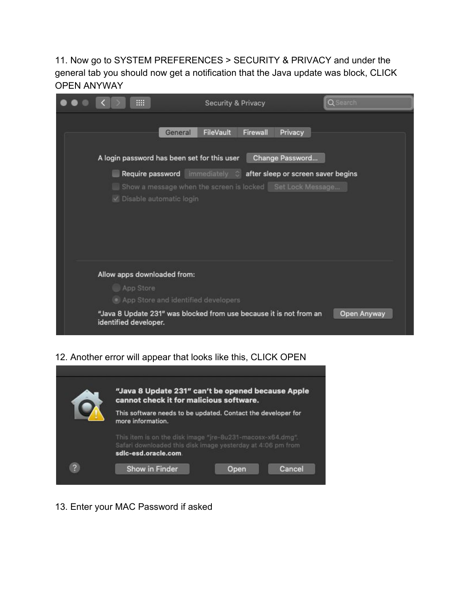11. Now go to SYSTEM PREFERENCES > SECURITY & PRIVACY and under the general tab you should now get a notification that the Java update was block, CLICK OPEN ANYWAY

| m.                                                                                | <b>Security &amp; Privacy</b>                                                                                                  | Q Search    |
|-----------------------------------------------------------------------------------|--------------------------------------------------------------------------------------------------------------------------------|-------------|
| General                                                                           | FileVault<br>Firewall<br>Privacy                                                                                               |             |
| A login password has been set for this user                                       | Change Password                                                                                                                |             |
| V Disable automatic login                                                         | Require password immediately a after sleep or screen saver begins<br>Show a message when the screen is locked Set Lock Message |             |
| Allow apps downloaded from:<br>App Store<br>• App Store and identified developers |                                                                                                                                |             |
| identified developer.                                                             | "Java 8 Update 231" was blocked from use because it is not from an                                                             | Open Anyway |

12. Another error will appear that looks like this, CLICK OPEN



13. Enter your MAC Password if asked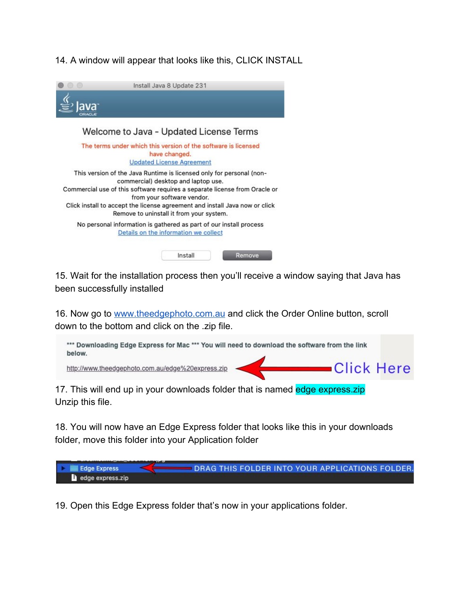### 14. A window will appear that looks like this, CLICK INSTALL



15. Wait for the installation process then you'll receive a window saying that Java has been successfully installed

16. Now go to [www.theedgephoto.com.au](http://www.theedgephoto.com.au/) and click the Order Online button, scroll down to the bottom and click on the .zip file.



17. This will end up in your downloads folder that is named edge express.zip Unzip this file.

18. You will now have an Edge Express folder that looks like this in your downloads folder, move this folder into your Application folder



19. Open this Edge Express folder that's now in your applications folder.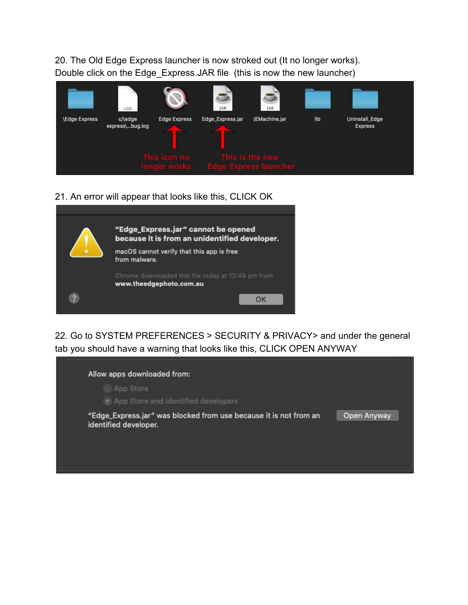20. The Old Edge Express launcher is now stroked out (It no longer works). Double click on the Edge Express.JAR file (this is now the new launcher)



### 21. An error will appear that looks like this, CLICK OK

|               | "Edge_Express.jar" cannot be opened<br>because it is from an unidentified developer. |  |
|---------------|--------------------------------------------------------------------------------------|--|
|               | macOS cannot verify that this app is free<br>from malware.                           |  |
|               | Chrome downloaded this file today at 12:49 pm from<br>www.theedgephoto.com.au        |  |
| $\mathcal{D}$ |                                                                                      |  |

22. Go to SYSTEM PREFERENCES > SECURITY & PRIVACY> and under the general tab you should have a warning that looks like this, CLICK OPEN ANYWAY

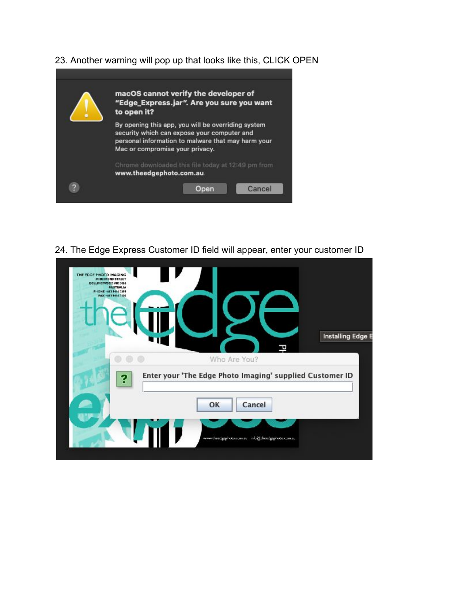23. Another warning will pop up that looks like this, CLICK OPEN

| macOS cannot verify the developer of<br>"Edge_Express.jar". Are you sure you want<br>to open it?                                                                                           |  |
|--------------------------------------------------------------------------------------------------------------------------------------------------------------------------------------------|--|
| By opening this app, you will be overriding system<br>security which can expose your computer and<br>personal information to malware that may harm your<br>Mac or compromise your privacy. |  |
| Chrome downloaded this file today at 12:49 pm from<br>www.theedgephoto.com.au                                                                                                              |  |
|                                                                                                                                                                                            |  |

24. The Edge Express Customer ID field will appear, enter your customer ID

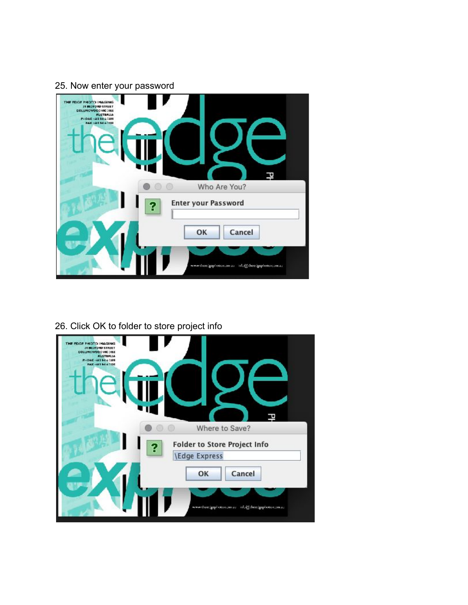## 25. Now enter your password



# 26. Click OK to folder to store project info